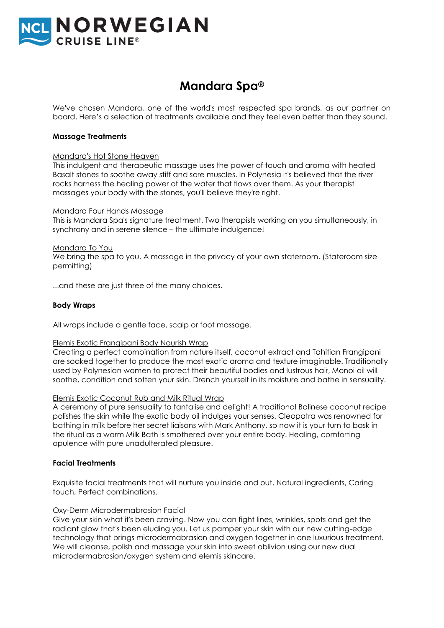

# **Mandara Spa®**

We've chosen Mandara, one of the world's most respected spa brands, as our partner on board. Here's a selection of treatments available and they feel even better than they sound.

## **Massage Treatments**

## Mandara's Hot Stone Heaven

This indulgent and therapeutic massage uses the power of touch and aroma with heated Basalt stones to soothe away stiff and sore muscles. In Polynesia it's believed that the river rocks harness the healing power of the water that flows over them. As your therapist massages your body with the stones, you'll believe they're right.

## Mandara Four Hands Massage

This is Mandara Spa's signature treatment. Two therapists working on you simultaneously, in synchrony and in serene silence – the ultimate indulgence!

#### Mandara To You

We bring the spa to you. A massage in the privacy of your own stateroom. (Stateroom size permitting)

...and these are just three of the many choices.

## **Body Wraps**

All wraps include a gentle face, scalp or foot massage.

#### Elemis Exotic Frangipani Body Nourish Wrap

Creating a perfect combination from nature itself, coconut extract and Tahitian Frangipani are soaked together to produce the most exotic aroma and texture imaginable. Traditionally used by Polynesian women to protect their beautiful bodies and lustrous hair, Monoi oil will soothe, condition and soften your skin. Drench yourself in its moisture and bathe in sensuality.

#### Elemis Exotic Coconut Rub and Milk Ritual Wrap

A ceremony of pure sensuality to tantalise and delight! A traditional Balinese coconut recipe polishes the skin while the exotic body oil indulges your senses. Cleopatra was renowned for bathing in milk before her secret liaisons with Mark Anthony, so now it is your turn to bask in the ritual as a warm Milk Bath is smothered over your entire body. Healing, comforting opulence with pure unadulterated pleasure.

# **Facial Treatments**

Exquisite facial treatments that will nurture you inside and out. Natural ingredients, Caring touch, Perfect combinations.

# Oxy-Derm Microdermabrasion Facial

Give your skin what it's been craving. Now you can fight lines, wrinkles, spots and get the radiant glow that's been eluding you. Let us pamper your skin with our new cutting-edge technology that brings microdermabrasion and oxygen together in one luxurious treatment. We will cleanse, polish and massage your skin into sweet oblivion using our new dual microdermabrasion/oxygen system and elemis skincare.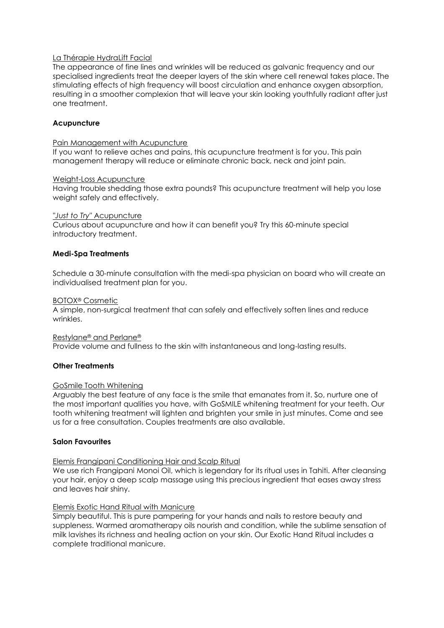# La Thérapie HydraLift Facial

The appearance of fine lines and wrinkles will be reduced as galvanic frequency and our specialised ingredients treat the deeper layers of the skin where cell renewal takes place. The stimulating effects of high frequency will boost circulation and enhance oxygen absorption, resulting in a smoother complexion that will leave your skin looking youthfully radiant after just one treatment.

# **Acupuncture**

## Pain Management with Acupuncture

If you want to relieve aches and pains, this acupuncture treatment is for you. This pain management therapy will reduce or eliminate chronic back, neck and joint pain.

## Weight-Loss Acupuncture

Having trouble shedding those extra pounds? This acupuncture treatment will help you lose weight safely and effectively.

## *"Just to Try"* Acupuncture

Curious about acupuncture and how it can benefit you? Try this 60-minute special introductory treatment.

# **Medi-Spa Treatments**

Schedule a 30-minute consultation with the medi-spa physician on board who will create an individualised treatment plan for you.

## BOTOX® Cosmetic

A simple, non-surgical treatment that can safely and effectively soften lines and reduce wrinkles.

#### Restylane® and Perlane®

Provide volume and fullness to the skin with instantaneous and long-lasting results.

# **Other Treatments**

# GoSmile Tooth Whitening

Arguably the best feature of any face is the smile that emanates from it. So, nurture one of the most important qualities you have, with GoSMILE whitening treatment for your teeth. Our tooth whitening treatment will lighten and brighten your smile in just minutes. Come and see us for a free consultation. Couples treatments are also available.

# **Salon Favourites**

# Elemis Frangipani Conditioning Hair and Scalp Ritual

We use rich Frangipani Monoi Oil, which is legendary for its ritual uses in Tahiti. After cleansing your hair, enjoy a deep scalp massage using this precious ingredient that eases away stress and leaves hair shiny.

# Elemis Exotic Hand Ritual with Manicure

Simply beautiful. This is pure pampering for your hands and nails to restore beauty and suppleness. Warmed aromatherapy oils nourish and condition, while the sublime sensation of milk lavishes its richness and healing action on your skin. Our Exotic Hand Ritual includes a complete traditional manicure.